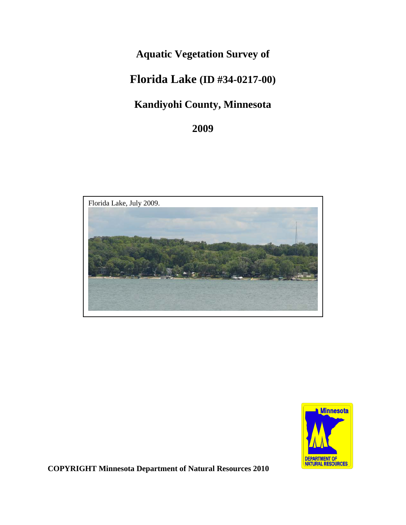# **Aquatic Vegetation Survey of**

# **Florida Lake (ID #34-0217-00)**

# **Kandiyohi County, Minnesota**

**2009**





**COPYRIGHT Minnesota Department of Natural Resources 2010**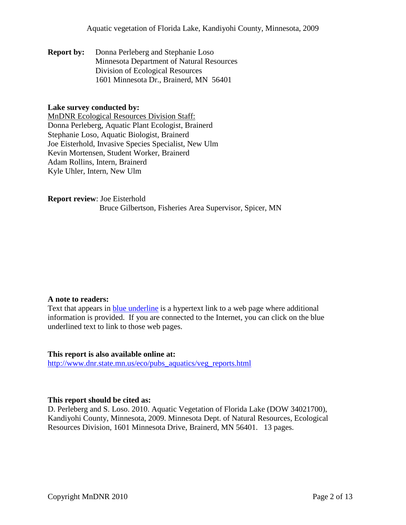**Report by:** Donna Perleberg and Stephanie Loso Minnesota Department of Natural Resources Division of Ecological Resources 1601 Minnesota Dr., Brainerd, MN 56401

### **Lake survey conducted by:**

MnDNR Ecological Resources Division Staff: Donna Perleberg, Aquatic Plant Ecologist, Brainerd Stephanie Loso, Aquatic Biologist, Brainerd Joe Eisterhold, Invasive Species Specialist, New Ulm Kevin Mortensen, Student Worker, Brainerd Adam Rollins, Intern, Brainerd Kyle Uhler, Intern, New Ulm

**Report review**: Joe Eisterhold Bruce Gilbertson, Fisheries Area Supervisor, Spicer, MN

#### **A note to readers:**

Text that appears in **blue underline** is a hypertext link to a web page where additional information is provided. If you are connected to the Internet, you can click on the blue underlined text to link to those web pages.

#### **This report is also available online at:**

[http://www.dnr.state.mn.us/eco/pubs\\_aquatics/veg\\_reports.html](http://www.dnr.state.mn.us/eco/pubs_aquatics/veg_reports.html)

### **This report should be cited as:**

D. Perleberg and S. Loso. 2010. Aquatic Vegetation of Florida Lake (DOW 34021700), Kandiyohi County, Minnesota, 2009. Minnesota Dept. of Natural Resources, Ecological Resources Division, 1601 Minnesota Drive, Brainerd, MN 56401. 13 pages.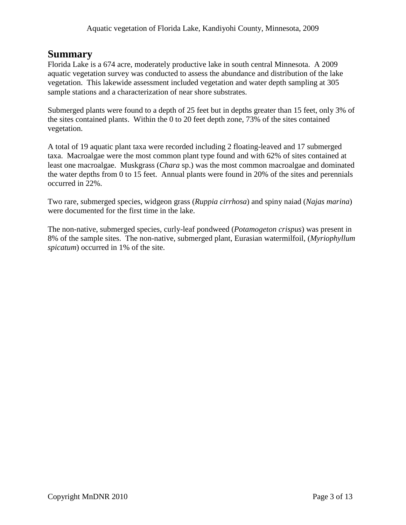## **Summary**

Florida Lake is a 674 acre, moderately productive lake in south central Minnesota. A 2009 aquatic vegetation survey was conducted to assess the abundance and distribution of the lake vegetation. This lakewide assessment included vegetation and water depth sampling at 305 sample stations and a characterization of near shore substrates.

Submerged plants were found to a depth of 25 feet but in depths greater than 15 feet, only 3% of the sites contained plants. Within the 0 to 20 feet depth zone, 73% of the sites contained vegetation.

A total of 19 aquatic plant taxa were recorded including 2 floating-leaved and 17 submerged taxa. Macroalgae were the most common plant type found and with 62% of sites contained at least one macroalgae. Muskgrass (*Chara* sp.) was the most common macroalgae and dominated the water depths from 0 to 15 feet. Annual plants were found in 20% of the sites and perennials occurred in 22%.

Two rare, submerged species, widgeon grass (*Ruppia cirrhosa*) and spiny naiad (*Najas marina*) were documented for the first time in the lake.

The non-native, submerged species, curly-leaf pondweed (*Potamogeton crispus*) was present in 8% of the sample sites. The non-native, submerged plant, Eurasian watermilfoil, (*Myriophyllum spicatum*) occurred in 1% of the site.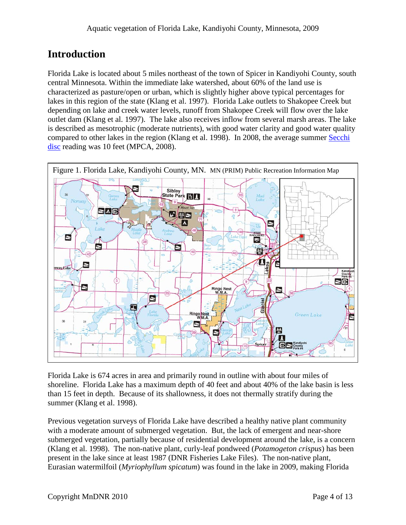# **Introduction**

Florida Lake is located about 5 miles northeast of the town of Spicer in Kandiyohi County, south central Minnesota. Within the immediate lake watershed, about 60% of the land use is characterized as pasture/open or urban, which is slightly higher above typical percentages for lakes in this region of the state (Klang et al. 1997). Florida Lake outlets to Shakopee Creek but depending on lake and creek water levels, runoff from Shakopee Creek will flow over the lake outlet dam (Klang et al. 1997). The lake also receives inflow from several marsh areas. The lake is described as mesotrophic (moderate nutrients), with good water clarity and good water quality compared to other lakes in the region (Klang et al. 1998). In 2008, the average summer Secchi [disc](http://www.pca.state.mn.us/water/secchi-slideshow.html) reading was 10 feet (MPCA, 2008).



Florida Lake is 674 acres in area and primarily round in outline with about four miles of shoreline. Florida Lake has a maximum depth of 40 feet and about 40% of the lake basin is less than 15 feet in depth. Because of its shallowness, it does not thermally stratify during the summer (Klang et al. 1998).

Previous vegetation surveys of Florida Lake have described a healthy native plant community with a moderate amount of submerged vegetation. But, the lack of emergent and near-shore submerged vegetation, partially because of residential development around the lake, is a concern (Klang et al. 1998). The non-native plant, curly-leaf pondweed (*Potamogeton crispus*) has been present in the lake since at least 1987 (DNR Fisheries Lake Files). The non-native plant, Eurasian watermilfoil (*Myriophyllum spicatum*) was found in the lake in 2009, making Florida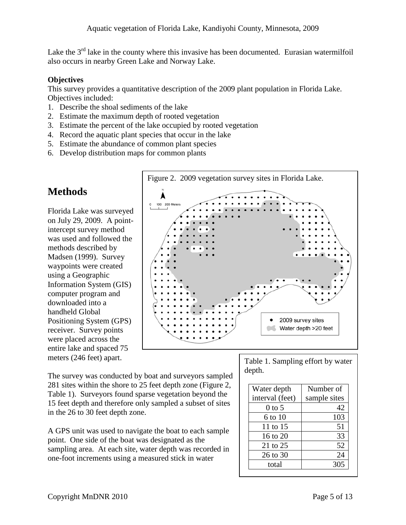Lake the  $3<sup>rd</sup>$  lake in the county where this invasive has been documented. Eurasian watermilfoil also occurs in nearby Green Lake and Norway Lake.

### **Objectives**

This survey provides a quantitative description of the 2009 plant population in Florida Lake. Objectives included:

- 1. Describe the shoal sediments of the lake
- 2. Estimate the maximum depth of rooted vegetation
- 3. Estimate the percent of the lake occupied by rooted vegetation
- 4. Record the aquatic plant species that occur in the lake
- 5. Estimate the abundance of common plant species
- 6. Develop distribution maps for common plants

## **Methods**

Florida Lake was surveyed on July 29, 2009. A pointintercept survey method was used and followed the methods described by Madsen (1999). Survey waypoints were created using a Geographic Information System (GIS) computer program and downloaded into a handheld Global Positioning System (GPS) receiver. Survey points were placed across the entire lake and spaced 75 meters (246 feet) apart.



The survey was conducted by boat and surveyors sampled 281 sites within the shore to 25 feet depth zone (Figure 2, Table 1). Surveyors found sparse vegetation beyond the 15 feet depth and therefore only sampled a subset of sites in the 26 to 30 feet depth zone.

A GPS unit was used to navigate the boat to each sample point. One side of the boat was designated as the sampling area. At each site, water depth was recorded in one-foot increments using a measured stick in water

Table 1. Sampling effort by water depth.

| Water depth     | Number of    |  |
|-----------------|--------------|--|
| interval (feet) | sample sites |  |
| 0 to 5          | 42           |  |
| 6 to 10         | 103          |  |
| 11 to 15        | 51           |  |
| 16 to 20        | 33           |  |
| 21 to 25        | 52           |  |
| 26 to 30        | 24           |  |
| total           | 305          |  |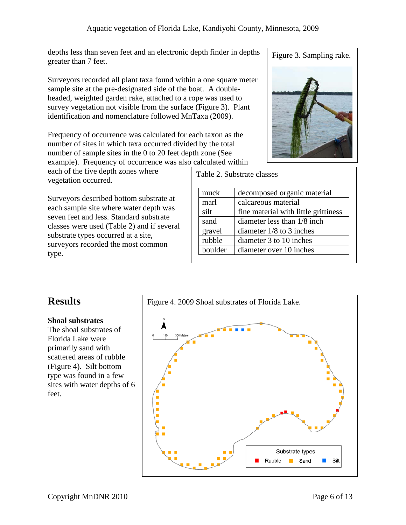depths less than seven feet and an electronic depth finder in depths greater than 7 feet.

Surveyors recorded all plant taxa found within a one square meter sample site at the pre-designated side of the boat. A doubleheaded, weighted garden rake, attached to a rope was used to survey vegetation not visible from the surface (Figure 3). Plant identification and nomenclature followed MnTaxa (2009).

Frequency of occurrence was calculated for each taxon as the number of sites in which taxa occurred divided by the total number of sample sites in the 0 to 20 feet depth zone (See example). Frequency of occurrence was also calculated within

each of the five depth zones where vegetation occurred.

Surveyors described bottom substrate at each sample site where water depth was seven feet and less. Standard substrate classes were used (Table 2) and if several substrate types occurred at a site, surveyors recorded the most common type.

Figure 3. Sampling rake.



Table 2. Substrate classes

| muck    | decomposed organic material          |
|---------|--------------------------------------|
| marl    | calcareous material                  |
| silt    | fine material with little grittiness |
| sand    | diameter less than 1/8 inch          |
| gravel  | diameter $1/8$ to 3 inches           |
| rubble  | diameter 3 to 10 inches              |
| boulder | diameter over 10 inches              |

## **Results**

## **Shoal substrates**

The shoal substrates of Florida Lake were primarily sand with scattered areas of rubble (Figure 4). Silt bottom type was found in a few sites with water depths of 6 feet.

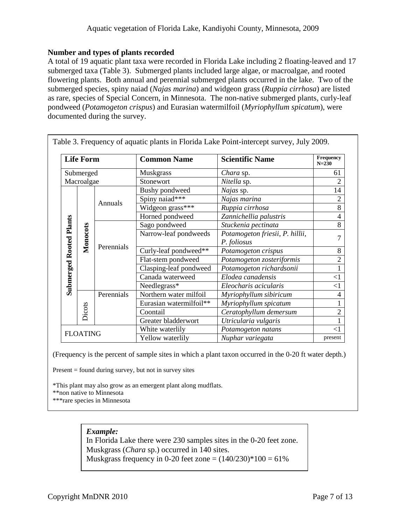#### **Number and types of plants recorded**

A total of 19 aquatic plant taxa were recorded in Florida Lake including 2 floating-leaved and 17 submerged taxa (Table 3). Submerged plants included large algae, or macroalgae, and rooted flowering plants. Both annual and perennial submerged plants occurred in the lake. Two of the submerged species, spiny naiad (*Najas marina*) and widgeon grass (*Ruppia cirrhosa*) are listed as rare, species of Special Concern, in Minnesota. The non-native submerged plants, curly-leaf pondweed (*Potamogeton crispus*) and Eurasian watermilfoil (*Myriophyllum spicatum*), were documented during the survey.

| <b>Life Form</b>               |          |            | <b>Common Name</b>      | <b>Scientific Name</b>          | Frequency<br>$N = 230$ |
|--------------------------------|----------|------------|-------------------------|---------------------------------|------------------------|
| Submerged                      |          |            | Muskgrass               | Chara sp.                       | 61                     |
| Macroalgae                     |          |            | Stonewort               | Nitella sp.                     | $\overline{2}$         |
| <b>Submerged Rooted Plants</b> |          | Annuals    | Bushy pondweed          | Najas sp.                       | 14                     |
|                                |          |            | Spiny naiad***          | Najas marina                    | $\overline{2}$         |
|                                |          |            | Widgeon grass***        | Ruppia cirrhosa                 | $\overline{8}$         |
|                                |          |            | Horned pondweed         | Zannichellia palustris          | $\overline{4}$         |
|                                | Monocots | Perennials | Sago pondweed           | Stuckenia pectinata             | 8                      |
|                                |          |            | Narrow-leaf pondweeds   | Potamogeton friesii, P. hillii, | $\overline{7}$         |
|                                |          |            |                         | P. foliosus                     |                        |
|                                |          |            | Curly-leaf pondweed**   | Potamogeton crispus             | 8                      |
|                                |          |            | Flat-stem pondweed      | Potamogeton zosteriformis       | $\overline{2}$         |
|                                |          |            | Clasping-leaf pondweed  | Potamogeton richardsonii        | $\mathbf{1}$           |
|                                |          |            | Canada waterweed        | Elodea canadensis               | $\leq$ 1               |
|                                |          |            | Needlegrass*            | Eleocharis acicularis           | $<$ 1                  |
|                                |          | Perennials | Northern water milfoil  | Myriophyllum sibiricum          | 4                      |
|                                |          |            | Eurasian watermilfoil** | Myriophyllum spicatum           |                        |
|                                | Dicots   |            | Coontail                | Ceratophyllum demersum          | $\overline{2}$         |
|                                |          |            | Greater bladderwort     | Utricularia vulgaris            |                        |
| <b>FLOATING</b>                |          |            | White waterlily         | Potamogeton natans              | <1                     |
|                                |          |            | Yellow waterlily        | Nuphar variegata                | present                |

(Frequency is the percent of sample sites in which a plant taxon occurred in the 0-20 ft water depth.)

Present = found during survey, but not in survey sites

\*This plant may also grow as an emergent plant along mudflats.

\*\*non native to Minnesota

\*\*\*rare species in Minnesota

### *Example:*

In Florida Lake there were 230 samples sites in the 0-20 feet zone. Muskgrass (*Chara* sp.) occurred in 140 sites. Muskgrass frequency in 0-20 feet zone =  $(140/230)*100 = 61%$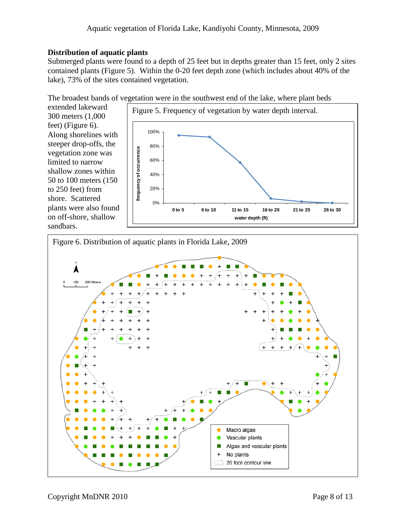## **Distribution of aquatic plants**

Submerged plants were found to a depth of 25 feet but in depths greater than 15 feet, only 2 sites contained plants (Figure 5). Within the 0-20 feet depth zone (which includes about 40% of the lake), 73% of the sites contained vegetation.

The broadest bands of vegetation were in the southwest end of the lake, where plant beds

extended lakeward 300 meters (1,000 feet) (Figure 6). Along shorelines with steeper drop-offs, the vegetation zone was limited to narrow shallow zones within 50 to 100 meters (150 to 250 feet) from shore. Scattered plants were also found on off-shore, shallow sandbars.



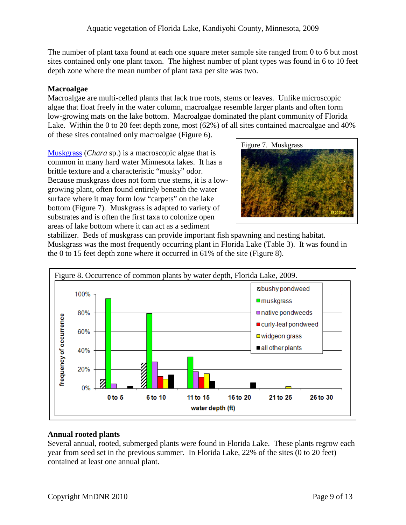The number of plant taxa found at each one square meter sample site ranged from 0 to 6 but most sites contained only one plant taxon. The highest number of plant types was found in 6 to 10 feet depth zone where the mean number of plant taxa per site was two.

## **Macroalgae**

Macroalgae are multi-celled plants that lack true roots, stems or leaves. Unlike microscopic algae that float freely in the water column, macroalgae resemble larger plants and often form low-growing mats on the lake bottom. Macroalgae dominated the plant community of Florida Lake. Within the 0 to 20 feet depth zone, most (62%) of all sites contained macroalgae and 40% of these sites contained only macroalgae (Figure 6).

[Muskgrass](http://www.dnr.state.mn.us/aquatic_plants/algae/chara.html) (*Chara* sp.) is a macroscopic algae that is common in many hard water Minnesota lakes. It has a brittle texture and a characteristic "musky" odor. Because muskgrass does not form true stems, it is a lowgrowing plant, often found entirely beneath the water surface where it may form low "carpets" on the lake bottom (Figure 7). Muskgrass is adapted to variety of substrates and is often the first taxa to colonize open areas of lake bottom where it can act as a sediment



stabilizer. Beds of muskgrass can provide important fish spawning and nesting habitat. Muskgrass was the most frequently occurring plant in Florida Lake (Table 3). It was found in the 0 to 15 feet depth zone where it occurred in 61% of the site (Figure 8).



## **Annual rooted plants**

Several annual, rooted, submerged plants were found in Florida Lake. These plants regrow each year from seed set in the previous summer. In Florida Lake, 22% of the sites (0 to 20 feet) contained at least one annual plant.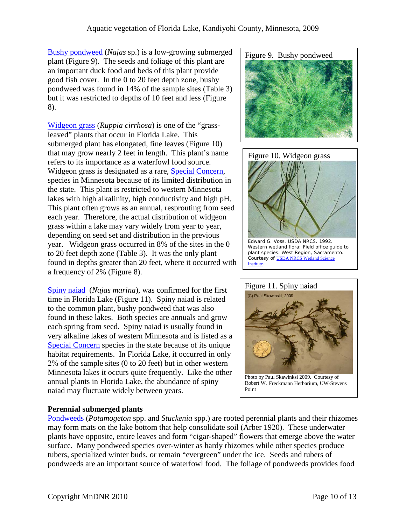[Bushy pondweed](http://www.dnr.state.mn.us/aquatic_plants/submerged_plants/bushy_pondweeds.html) (*Najas* sp.) is a low-growing submerged plant (Figure 9). The seeds and foliage of this plant are an important duck food and beds of this plant provide good fish cover. In the 0 to 20 feet depth zone, bushy pondweed was found in 14% of the sample sites (Table 3) but it was restricted to depths of 10 feet and less (Figure 8).

[Widgeon grass](http://www.dnr.state.mn.us/rsg/profile.html?action=elementDetail&selectedElement=PMRUP01020) (*Ruppia cirrhosa*) is one of the "grassleaved" plants that occur in Florida Lake. This submerged plant has elongated, fine leaves (Figure 10) that may grow nearly 2 feet in length. This plant's name refers to its importance as a waterfowl food source. Widgeon grass is designated as a rare, [Special Concern,](http://www.dnr.state.mn.us/ets/index.html) species in Minnesota because of its limited distribution in the state. This plant is restricted to western Minnesota lakes with high alkalinity, high conductivity and high pH. This plant often grows as an annual, resprouting from seed each year. Therefore, the actual distribution of widgeon grass within a lake may vary widely from year to year, depending on seed set and distribution in the previous year. Widgeon grass occurred in 8% of the sites in the 0 to 20 feet depth zone (Table 3). It was the only plant found in depths greater than 20 feet, where it occurred with a frequency of 2% (Figure 8).

[Spiny naiad](http://www.dnr.state.mn.us/rsg/profile.html?action=elementDetail&selectedElement=PMNAJ01060) (*Najas marina*), was confirmed for the first time in Florida Lake (Figure 11). Spiny naiad is related to the common plant, bushy pondweed that was also found in these lakes. Both species are annuals and grow each spring from seed. Spiny naiad is usually found in very alkaline lakes of western Minnesota and is listed as a [Special Concern](http://www.dnr.state.mn.us/ets/index.html) species in the state because of its unique habitat requirements. In Florida Lake, it occurred in only 2% of the sample sites (0 to 20 feet) but in other western Minnesota lakes it occurs quite frequently. Like the other annual plants in Florida Lake, the abundance of spiny naiad may fluctuate widely between years.

### **Perennial submerged plants**

[Pondweeds](http://www.dnr.state.mn.us/aquatic_plants/submerged_plants/broadleaf_pondweeds.html) (*Potamogeton* spp. and *Stuckenia* spp.) are rooted perennial plants and their rhizomes may form mats on the lake bottom that help consolidate soil (Arber 1920). These underwater plants have opposite, entire leaves and form "cigar-shaped" flowers that emerge above the water surface. Many pondweed species over-winter as hardy rhizomes while other species produce tubers, specialized winter buds, or remain "evergreen" under the ice. Seeds and tubers of pondweeds are an important source of waterfowl food. The foliage of pondweeds provides food





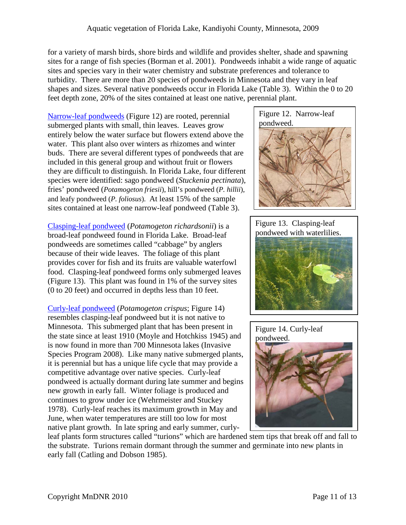for a variety of marsh birds, shore birds and wildlife and provides shelter, shade and spawning sites for a range of fish species (Borman et al. 2001). Pondweeds inhabit a wide range of aquatic sites and species vary in their water chemistry and substrate preferences and tolerance to turbidity. There are more than 20 species of pondweeds in Minnesota and they vary in leaf shapes and sizes. Several native pondweeds occur in Florida Lake (Table 3). Within the 0 to 20 feet depth zone, 20% of the sites contained at least one native, perennial plant.

[Narrow-leaf pondweeds](http://www.dnr.state.mn.us/aquatic_plants/submerged_plants/narrowleaf_pondweeds.html) (Figure 12) are rooted, perennial submerged plants with small, thin leaves. Leaves grow entirely below the water surface but flowers extend above the water. This plant also over winters as rhizomes and winter buds. There are several different types of pondweeds that are included in this general group and without fruit or flowers they are difficult to distinguish. In Florida Lake, four different species were identified: sago pondweed (*Stuckenia pectinata*), fries' pondweed (*Potamogeton friesii*), hill's pondweed (*P. hillii*), and leafy pondweed (*P. foliosus*). At least 15% of the sample sites contained at least one narrow-leaf pondweed (Table 3).

[Clasping-leaf pondweed](http://www.dnr.state.mn.us/aquatic_plants/submerged_plants/broadleaf_pondweeds.html) (*Potamogeton richardsonii*) is a broad-leaf pondweed found in Florida Lake. Broad-leaf pondweeds are sometimes called "cabbage" by anglers because of their wide leaves. The foliage of this plant provides cover for fish and its fruits are valuable waterfowl food. Clasping-leaf pondweed forms only submerged leaves (Figure 13). This plant was found in 1% of the survey sites (0 to 20 feet) and occurred in depths less than 10 feet.

[Curly-leaf pondweed](http://www.dnr.state.mn.us/aquatic_plants/submerged_plants/curlyleaf_pondweed.html) (*Potamogeton crispus*; Figure 14) resembles clasping-leaf pondweed but it is not native to Minnesota. This submerged plant that has been present in the state since at least 1910 (Moyle and Hotchkiss 1945) and is now found in more than 700 Minnesota lakes (Invasive Species Program 2008). Like many native submerged plants, it is perennial but has a unique life cycle that may provide a competitive advantage over native species. Curly-leaf pondweed is actually dormant during late summer and begins new growth in early fall. Winter foliage is produced and continues to grow under ice (Wehrmeister and Stuckey 1978). Curly-leaf reaches its maximum growth in May and June, when water temperatures are still too low for most native plant growth. In late spring and early summer, curly-



Figure 13. Clasping-leaf pondweed with waterlilies.





leaf plants form structures called "turions" which are hardened stem tips that break off and fall to the substrate. Turions remain dormant through the summer and germinate into new plants in early fall (Catling and Dobson 1985).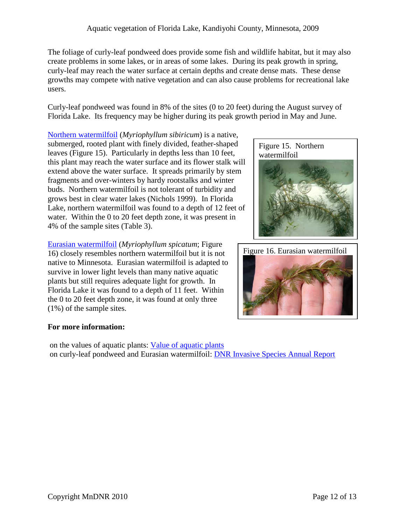The foliage of curly-leaf pondweed does provide some fish and wildlife habitat, but it may also create problems in some lakes, or in areas of some lakes. During its peak growth in spring, curly-leaf may reach the water surface at certain depths and create dense mats. These dense growths may compete with native vegetation and can also cause problems for recreational lake users.

Curly-leaf pondweed was found in 8% of the sites (0 to 20 feet) during the August survey of Florida Lake. Its frequency may be higher during its peak growth period in May and June.

[Northern watermilfoil](http://www.dnr.state.mn.us/aquatic_plants/submerged_plants/northern_watermilfoil.html) (*Myriophyllum sibiricum*) is a native, submerged, rooted plant with finely divided, feather-shaped leaves (Figure 15). Particularly in depths less than 10 feet, this plant may reach the water surface and its flower stalk will extend above the water surface. It spreads primarily by stem fragments and over-winters by hardy rootstalks and winter buds. Northern watermilfoil is not tolerant of turbidity and grows best in clear water lakes (Nichols 1999). In Florida Lake, northern watermilfoil was found to a depth of 12 feet of water. Within the 0 to 20 feet depth zone, it was present in 4% of the sample sites (Table 3).

[Eurasian watermilfoil](http://www.dnr.state.mn.us/invasives/aquaticplants/milfoil/index.html) (*Myriophyllum spicatum*; Figure 16) closely resembles northern watermilfoil but it is not native to Minnesota. Eurasian watermilfoil is adapted to survive in lower light levels than many native aquatic plants but still requires adequate light for growth. In Florida Lake it was found to a depth of 11 feet. Within the 0 to 20 feet depth zone, it was found at only three (1%) of the sample sites.

### **For more information:**

on the values of aquatic plants: [Value of aquatic plants](http://www.dnr.state.mn.us/shorelandmgmt/apg/value.html) on curly-leaf pondweed and Eurasian watermilfoil: [DNR Invasive Species Annual Report](http://files.dnr.state.mn.us/eco/invasives/annualreport.pdf)